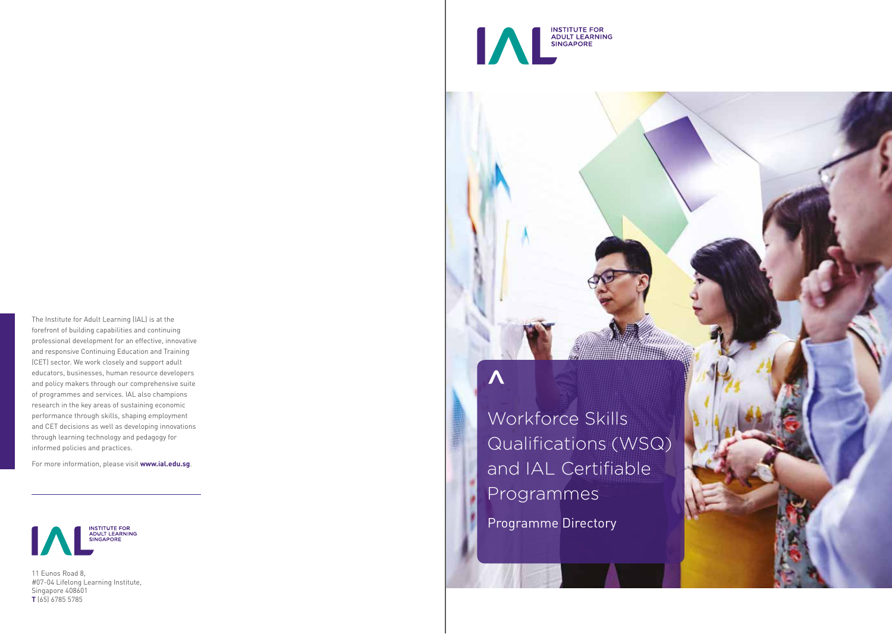

For more information, please visit **www.ial.edu.sg** .



11 Eunos Road 8, #07-04 Lifelong Learning Institute, Singapore 408601 **T** (65) 6785 5785



# $\boldsymbol{\Lambda}$

Programme Directory Workforce Skills Qualifications (WSQ) and IAL Certifiable Programmes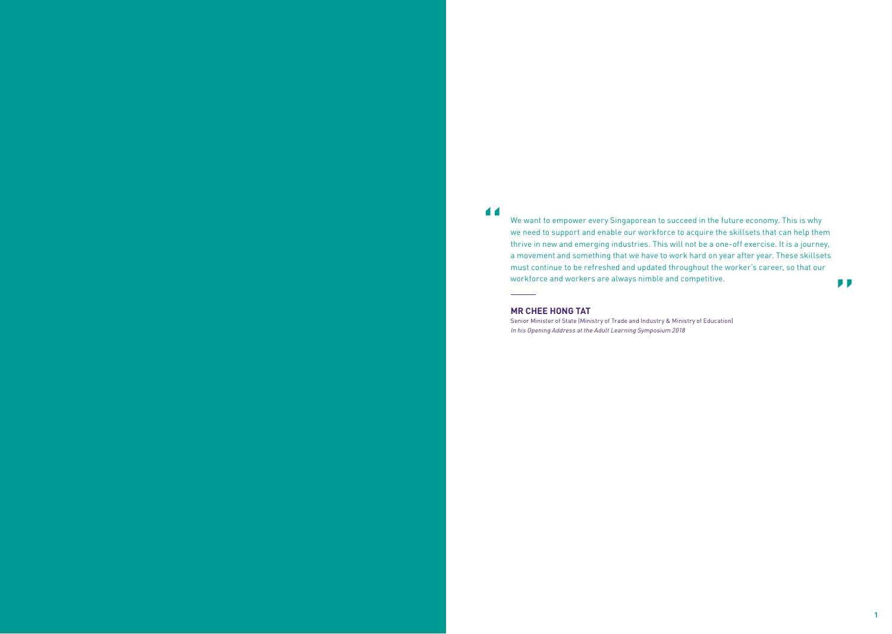11

 $\overline{\phantom{0}}$ 

We want to empower every Singaporean to succeed in the future economy. This is why we need to support and enable our workforce to acquire the skillsets that can help them thrive in new and emerging industries. This will not be a one-off exercise. It is a journey, a movement and something that we have to work hard on year after year. These skillsets must continue to be refreshed and updated throughout the worker's career, so that our workforce and workers are always nimble and competitive.

#### **MR CHEE HONG TAT**

Senior Minister of State (Ministry of Trade and Industry & Ministry of Education) In his Opening Address at the Adult Learning Symposium 2018

"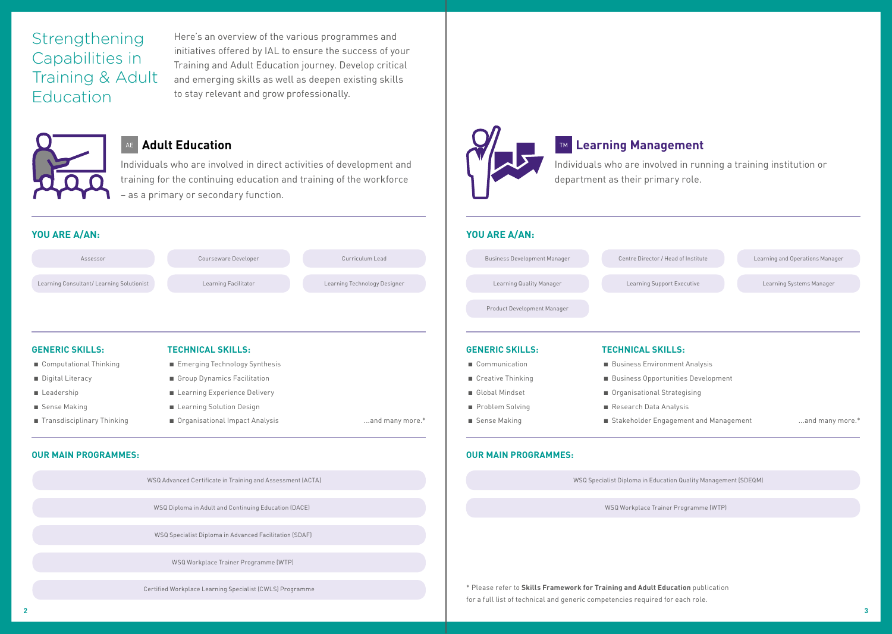Strengthening Capabilities in Training & Adult Education

Here's an overview of the various programmes and initiatives offered by IAL to ensure the success of your Training and Adult Education journey. Develop critical and emerging skills as well as deepen existing skills to stay relevant and grow professionally.



### **Adult Education**

Individuals who are involved in direct activities of development and training for the continuing education and training of the workforce – as a primary or secondary function.

| Assessor                                 | Courseware Developer          | Curriculum Lead              |  |
|------------------------------------------|-------------------------------|------------------------------|--|
| Learning Consultant/Learning Solutionist | Learning Facilitator          | Learning Technology Designer |  |
|                                          |                               |                              |  |
| <b>GENERIC SKILLS:</b>                   | <b>TECHNICAL SKILLS:</b>      |                              |  |
|                                          |                               |                              |  |
| Computational Thinking                   | Emerging Technology Synthesis |                              |  |
| Digital Literacy                         | Group Dynamics Facilitation   |                              |  |
| Leadership                               | Learning Experience Delivery  |                              |  |
| ■ Sense Making                           | Learning Solution Design      |                              |  |

#### **OUR MAIN PROGRAMMES:**



### **Learning Management**

Individuals who are involved in running a training institution or department as their primary role.

#### **YOU ARE A/AN:**

| Centre Director / Head of Institute                      | Learning and Operations Manager                                       |  |  |  |
|----------------------------------------------------------|-----------------------------------------------------------------------|--|--|--|
| Learning Support Executive                               | Learning Systems Manager                                              |  |  |  |
|                                                          |                                                                       |  |  |  |
| <b>TECHNICAL SKILLS:</b>                                 |                                                                       |  |  |  |
| <b>Business Environment Analysis</b>                     |                                                                       |  |  |  |
| <b>Business Opportunities Development</b>                |                                                                       |  |  |  |
| Organisational Strategising                              |                                                                       |  |  |  |
| Research Data Analysis                                   |                                                                       |  |  |  |
| Stakeholder Engagement and Management<br>and many more.* |                                                                       |  |  |  |
|                                                          |                                                                       |  |  |  |
|                                                          | <b>WSQ Specialist Diploma in Education Quality Management (SDEQM)</b> |  |  |  |

WSQ Workplace Trainer Programme (WTP)

\* Please refer to **Skills Framework for Training and Adult Education** publication for a full list of technical and generic competencies required for each role.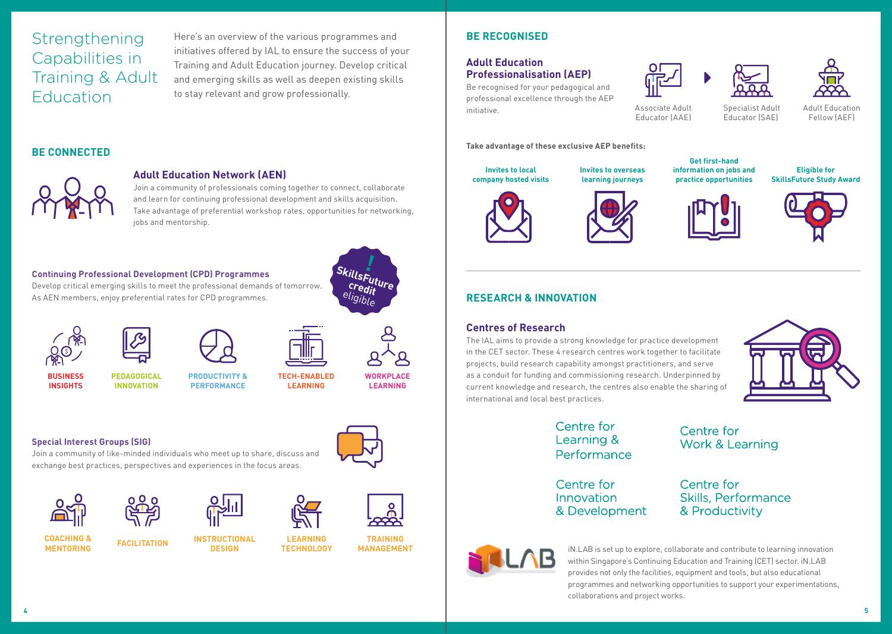## **Strengthening** Capabilities in Training & Adult Education

Here's an overview of the various programmes and initiatives offered by IAL to ensure the success of your Training and Adult Education journey. Develop critical and emerging skills as well as deepen existing skills to stay relevant and grow professionally.

### **BE CONNECTED**



#### **Adult Education Network (AEN)**

Join a community of professionals coming together to connect, collaborate and learn for continuing professional development and skills acquisition. Take advantage of preferential workshop rates, opportunities for networking, jobs and mentorship.

#### **Continuing Professional Development (CPD) Programmes**



Develop critical emerging skills to meet the professional demands of tomorrow. As AEN members, enjoy preferential rates for CPD programmes.









**LEARNING**

**TECH-ENABLED** 

**PEDAGOGICAL INNOVATION BUSINESS INSIGHTS**

**PRODUCTIVITY &** 



**WORKPLACE LEARNING**

#### **Special Interest Groups (SIG)**

Join a community of like-minded individuals who meet up to share, discuss and exchange best practices, perspectives and experiences in the focus areas.



**COACHING &** 







**MENTORING FACILITATION INSTRUCTIONAL DESIGN**



**TRAINING MANAGEMENT LEARNING TECHNOLOGY**

### **BE RECOGNISED**

#### **Adult Education Professionalisation (AEP)**

Be recognised for your pedagogical and professional excellence through the AEP initiative.

#### **Take advantage of these exclusive AEP benefits:**

**Invites to local company hosted visits**



**Invites to overseas learning journeys**



**information on jobs and** 

**Eligible for SkillsFuture Study Award**

Adult Education Fellow (AEF)





### **RESEARCH & INNOVATION**

#### **Centres of Research**

The IAL aims to provide a strong knowledge for practice development in the CET sector. These 4 research centres work together to facilitate projects, build research capability amongst practitioners, and serve as a conduit for funding and commissioning research. Underpinned by current knowledge and research, the centres also enable the sharing of international and local best practices.



### Centre for Learning & Performance

Centre for Innovation & Development Centre for **Skills, Performance** & Productivity

**Work & Learning** 



iN.LAB is set up to explore, collaborate and contribute to learning innovation within Singapore's Continuing Education and Training (CET) sector. iN.LAB provides not only the facilities, equipment and tools, but also educational programmes and networking opportunities to support your experimentations, collaborations and project works.

Centre for



Associate Adult Educator (AAE)

**practice opportunities**

Specialist Adult Educator (SAE)



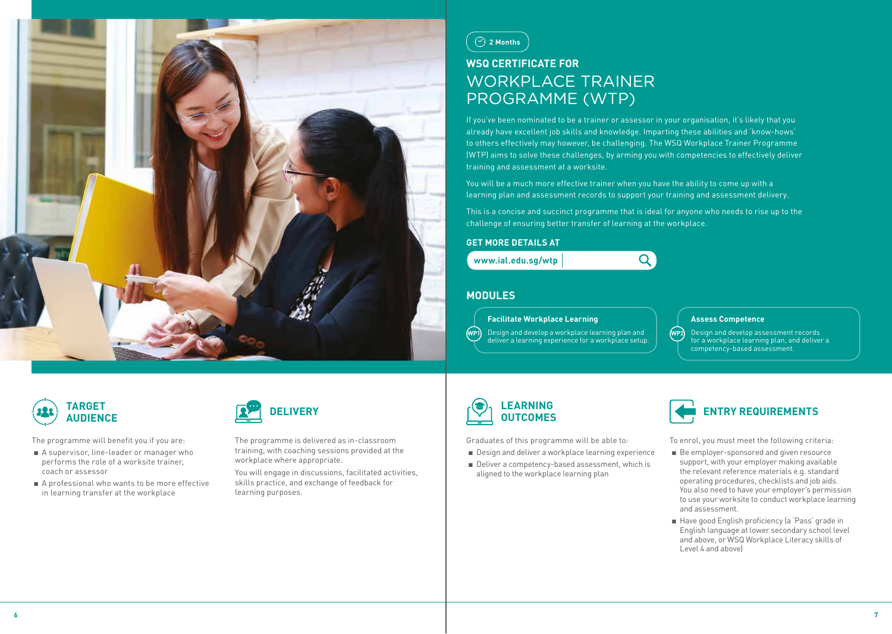



## **WSQ CERTIFICATE FOR** WORKPLACE TRAINER PROGRAMME (WTP)

If you've been nominated to be a trainer or assessor in your organisation, it's likely that you already have excellent job skills and knowledge. Imparting these abilities and 'know-hows' to others effectively may however, be challenging. The WSQ Workplace Trainer Programme (WTP) aims to solve these challenges, by arming you with competencies to effectively deliver training and assessment at a worksite.

You will be a much more effective trainer when you have the ability to come up with a learning plan and assessment records to support your training and assessment delivery.

This is a concise and succinct programme that is ideal for anyone who needs to rise up to the challenge of ensuring better transfer of learning at the workplace.

#### **GET MORE DETAILS AT**

#### **www.ial.edu.sg/wtp**

Q

#### **MODULES**

#### **Facilitate Workplace Learning**

**WP1** Design and develop a workplace learning plan and deliver a learning experience for a workplace setup.

#### **Assess Competence**

**WP2** Design and develop assessment records for a workplace learning plan, and deliver a competency-based assessment.



The programme will benefit you if you are:

- A supervisor, line-leader or manager who performs the role of a worksite trainer, coach or assessor
- A professional who wants to be more effective in learning transfer at the workplace



The programme is delivered as in-classroom training, with coaching sessions provided at the workplace where appropriate.

You will engage in discussions, facilitated activities, skills practice, and exchange of feedback for learning purposes.



Graduates of this programme will be able to:

- Design and deliver a workplace learning experience
- Deliver a competency-based assessment, which is aligned to the workplace learning plan



- Be employer-sponsored and given resource support, with your employer making available the relevant reference materials e.g. standard operating procedures, checklists and job aids. You also need to have your employer's permission to use your worksite to conduct workplace learning and assessment.
- Have good English proficiency (a 'Pass' grade in English language at lower secondary school level and above, or WSQ Workplace Literacy skills of Level 4 and above)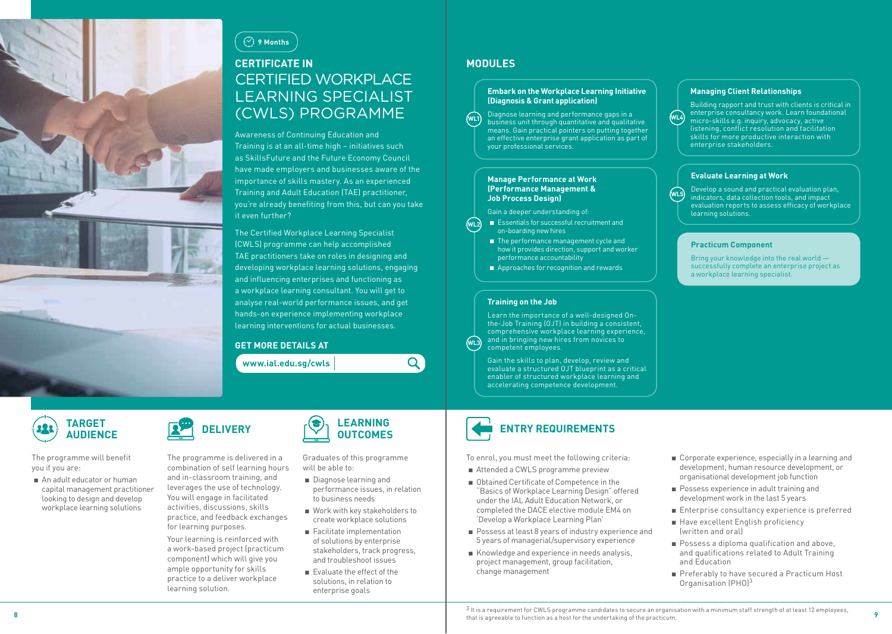



## **CERTIFICATE IN**  CERTIFIED WORKPLACE LEARNING SPECIALIST (CWLS) PROGRAMME

Awareness of Continuing Education and Training is at an all-time high – initiatives such as SkillsFuture and the Future Economy Council have made employers and businesses aware of the importance of skills mastery. As an experienced Training and Adult Education (TAE) practitioner, you're already benefiting from this, but can you take it even further?

The Certified Workplace Learning Specialist (CWLS) programme can help accomplished TAE practitioners take on roles in designing and developing workplace learning solutions, engaging and influencing enterprises and functioning as a workplace learning consultant. You will get to analyse real-world performance issues, and get hands-on experience implementing workplace learning interventions for actual businesses.

#### **GET MORE DETAILS AT**

**www.ial.edu.sg/cwls** 

#### **MODULES**

#### **Embark on the Workplace Learning Initiative (Diagnosis & Grant application)**

Diagnose learning and performance gaps in a business unit through quantitative and qualitative means. Gain practical pointers on putting together an effective enterprise grant application as part of your professional services. **WL1**

#### **Manage Performance at Work (Performance Management & Job Process Design)**

Gain a deeper understanding of:

- Essentials for successful recruitment and on-boarding new hires **WL2**
	- The performance management cycle and how it provides direction, support and worker performance accountability
	- Approaches for recognition and rewards

#### **Training on the Job**

Learn the importance of a well-designed Onthe-Job Training (OJT) in building a consistent, comprehensive workplace learning experience, and in bringing new hires from novices to competent employees. **WL3**

> Gain the skills to plan, develop, review and evaluate a structured OJT blueprint as a critical enabler of structured workplace learning and accelerating competence development.



To enrol, you must meet the following criteria:

- Attended a CWLS programme preview
- Obtained Certificate of Competence in the "Basics of Workplace Learning Design" offered under the IAL Adult Education Network, or completed the DACE elective module EM4 on 'Develop a Workplace Learning Plan'
- Possess at least 8 years of industry experience and 5 years of managerial/supervisory experience
- Knowledge and experience in needs analysis, project management, group facilitation, change management

#### **Managing Client Relationships**

Building rapport and trust with clients is critical in enterprise consultancy work. Learn foundational micro-skills e.g. inquiry, advocacy, active listening, conflict resolution and facilitation skills for more productive interaction with enterprise stakeholders.

#### **Evaluate Learning at Work**

Develop a sound and practical evaluation plan, indicators, data collection tools, and impact evaluation reports to assess efficacy of workplace learning solutions.

#### **Practicum Component**

**WL5**

**WL4**

Bring your knowledge into the real world successfully complete an enterprise project as a workplace learning specialist.

**TARGET AUDIENCE**

The programme will benefit you if you are:

■ An adult educator or human capital management practitioner looking to design and develop workplace learning solutions



The programme is delivered in a combination of self learning hours and in-classroom training, and leverages the use of technology. You will engage in facilitated activities, discussions, skills practice, and feedback exchanges for learning purposes.

Your learning is reinforced with a work-based project (practicum component) which will give you ample opportunity for skills practice to a deliver workplace learning solution.



 $\overline{Q}$ 

Graduates of this programme will be able to:

- Diagnose learning and performance issues, in relation to business needs
- Work with key stakeholders to create workplace solutions
- Facilitate implementation of solutions by enterprise stakeholders, track progress, and troubleshoot issues
- Evaluate the effect of the solutions, in relation to enterprise goals

**ENTRY REQUIREMENTS**



- Possess experience in adult training and development work in the last 5 years
- Enterprise consultancy experience is preferred
- Have excellent English proficiency (written and oral)
- Possess a diploma qualification and above, and qualifications related to Adult Training and Education
- Preferably to have secured a Practicum Host Organisation (PHO)<sup>3</sup>

**8 9** that is agreeable to function as a host for the undertaking of the practicum.3 It is a requirement for CWLS programme candidates to secure an organisation with a minimum staff strength of at least 12 employees,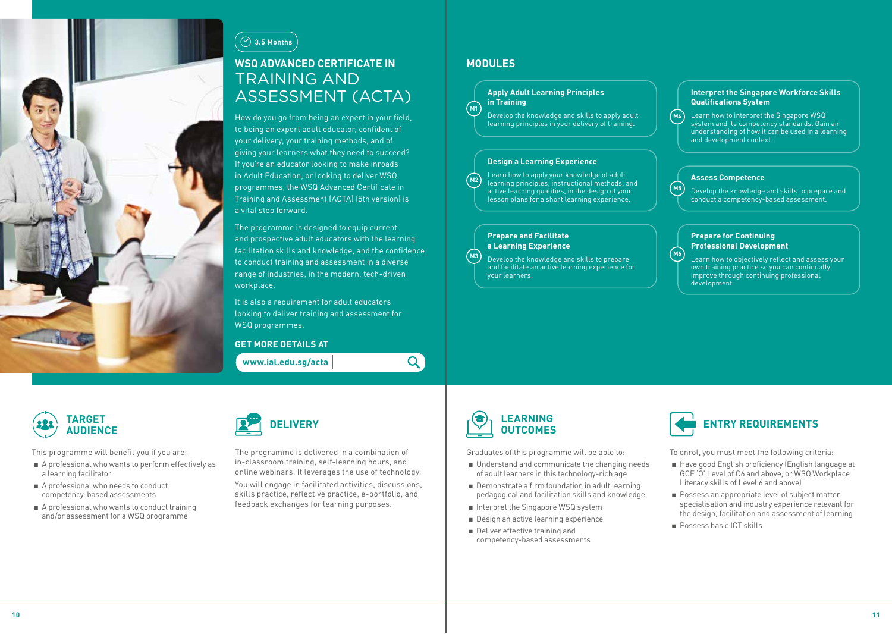

### **3.5 Months**

### **WSQ ADVANCED CERTIFICATE IN**  TRAINING AND ASSESSMENT (ACTA)

How do you go from being an expert in your field, to being an expert adult educator, confident of your delivery, your training methods, and of giving your learners what they need to succeed? If you're an educator looking to make inroads in Adult Education, or looking to deliver WSQ programmes, the WSQ Advanced Certificate in Training and Assessment (ACTA) (5th version) is a vital step forward.

The programme is designed to equip current and prospective adult educators with the learning facilitation skills and knowledge, and the confidence to conduct training and assessment in a diverse range of industries, in the modern, tech-driven workplace.

It is also a requirement for adult educators looking to deliver training and assessment for WSQ programmes.

#### **GET MORE DETAILS AT**

**www.ial.edu.sg/acta** 

### **MODULES**

**M1**

**M3**

 $\mathbf{Q}$ 

#### **Apply Adult Learning Principles in Training**

Develop the knowledge and skills to apply adult learning principles in your delivery of training.

#### **Design a Learning Experience**

**M2** Learn how to apply your knowledge of adult learning principles, instructional methods, and active learning qualities, in the design of your lesson plans for a short learning experience.

#### **Prepare and Facilitate a Learning Experience**

Develop the knowledge and skills to prepare and facilitate an active learning experience for your learners.

#### **Interpret the Singapore Workforce Skills Qualifications System**

**M4** Learn how to interpret the Singapore WSQ system and its competency standards. Gain an understanding of how it can be used in a learning and development context.

#### **Assess Competence**

**M5** Develop the knowledge and skills to prepare and conduct a competency-based assessment.

#### **Prepare for Continuing Professional Development**

**M6** Learn how to objectively reflect and assess your own training practice so you can continually improve through continuing professional development.



This programme will benefit you if you are:

- A professional who wants to perform effectively as a learning facilitator
- A professional who needs to conduct competency-based assessments
- A professional who wants to conduct training and/or assessment for a WSQ programme



The programme is delivered in a combination of in-classroom training, self-learning hours, and online webinars. It leverages the use of technology.

You will engage in facilitated activities, discussions, skills practice, reflective practice, e-portfolio, and feedback exchanges for learning purposes.



Graduates of this programme will be able to:

- Understand and communicate the changing needs of adult learners in this technology-rich age
- Demonstrate a firm foundation in adult learning pedagogical and facilitation skills and knowledge
- Interpret the Singapore WSQ system
- Design an active learning experience
- Deliver effective training and competency-based assessments



- Have good English proficiency (English language at GCE 'O' Level of C6 and above, or WSQ Workplace Literacy skills of Level 6 and above)
- Possess an appropriate level of subject matter specialisation and industry experience relevant for the design, facilitation and assessment of learning
- Possess basic ICT skills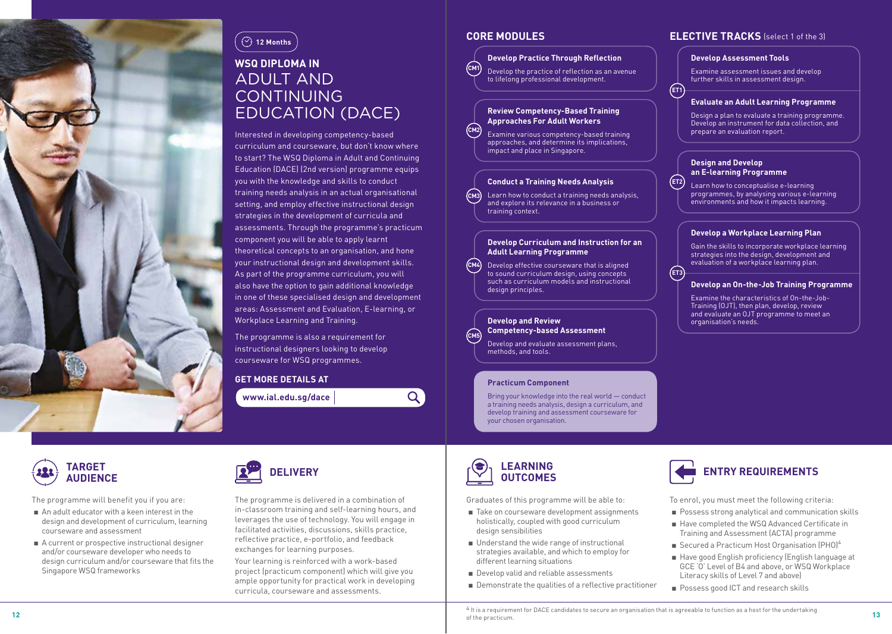



## **WSQ DIPLOMA IN**  ADULT AND CONTINUING EDUCATION (DACE)

Interested in developing competency-based curriculum and courseware, but don't know where to start? The WSQ Diploma in Adult and Continuing Education (DACE) (2nd version) programme equips you with the knowledge and skills to conduct training needs analysis in an actual organisational setting, and employ effective instructional design strategies in the development of curricula and assessments. Through the programme's practicum component you will be able to apply learnt theoretical concepts to an organisation, and hone your instructional design and development skills. As part of the programme curriculum, you will also have the option to gain additional knowledge in one of these specialised design and development areas: Assessment and Evaluation, E-learning, or Workplace Learning and Training.

The programme is also a requirement for instructional designers looking to develop courseware for WSQ programmes.

### **GET MORE DETAILS AT**

**www.ial.edu.sg/dace** 

**CM2**

**CM5**

 $\overline{Q}$ 

#### **CM1 Develop Practice Through Reflection**

Develop the practice of reflection as an avenue to lifelong professional development.

#### **Review Competency-Based Training Approaches For Adult Workers**

Examine various competency-based training approaches, and determine its implications, impact and place in Singapore.

#### **Conduct a Training Needs Analysis**

**CM3** Learn how to conduct a training needs analysis, and explore its relevance in a business or training context.

#### **Develop Curriculum and Instruction for an Adult Learning Programme**

**CM4** Develop effective courseware that is aligned to sound curriculum design, using concepts such as curriculum models and instructional design principles.

#### **Develop and Review Competency-based Assessment**

Develop and evaluate assessment plans, methods, and tools.

#### **Practicum Component**

Bring your knowledge into the real world — conduct a training needs analysis, design a curriculum, and develop training and assessment courseware for your chosen organisation.

## **CORE MODULES ELECTIVE TRACKS** (select 1 of the 3)

#### **Develop Assessment Tools**

**ET1**

**ET3**

Examine assessment issues and develop further skills in assessment design.

#### **Evaluate an Adult Learning Programme**

Design a plan to evaluate a training programme. Develop an instrument for data collection, and prepare an evaluation report.

#### **Design and Develop an E-learning Programme**

**ET2** Learn how to conceptualise e-learning programmes, by analysing various e-learning environments and how it impacts learning.

#### **Develop a Workplace Learning Plan**

Gain the skills to incorporate workplace learning strategies into the design, development and evaluation of a workplace learning plan.

#### **Develop an On-the-Job Training Programme**

Examine the characteristics of On-the-Job-Training (OJT), then plan, develop, review and evaluate an OJT programme to meet an organisation's needs.



The programme will benefit you if you are:

- An adult educator with a keen interest in the design and development of curriculum, learning courseware and assessment
- A current or prospective instructional designer and/or courseware developer who needs to design curriculum and/or courseware that fits the Singapore WSQ frameworks



The programme is delivered in a combination of in-classroom training and self-learning hours, and leverages the use of technology. You will engage in facilitated activities, discussions, skills practice, reflective practice, e-portfolio, and feedback exchanges for learning purposes.

Your learning is reinforced with a work-based project (practicum component) which will give you ample opportunity for practical work in developing curricula, courseware and assessments.



Graduates of this programme will be able to:

- Take on courseware development assignments holistically, coupled with good curriculum design sensibilities
- Understand the wide range of instructional strategies available, and which to employ for different learning situations
- Develop valid and reliable assessments
- Demonstrate the qualities of a reflective practitioner



- Possess strong analytical and communication skills
- Have completed the WSQ Advanced Certificate in Training and Assessment (ACTA) programme
- **EXECUTED A** Practicum Host Organisation (PHO)<sup>4</sup>
- Have good English proficiency (English language at GCE 'O' Level of B4 and above, or WSQ Workplace Literacy skills of Level 7 and above)
- Possess good ICT and research skills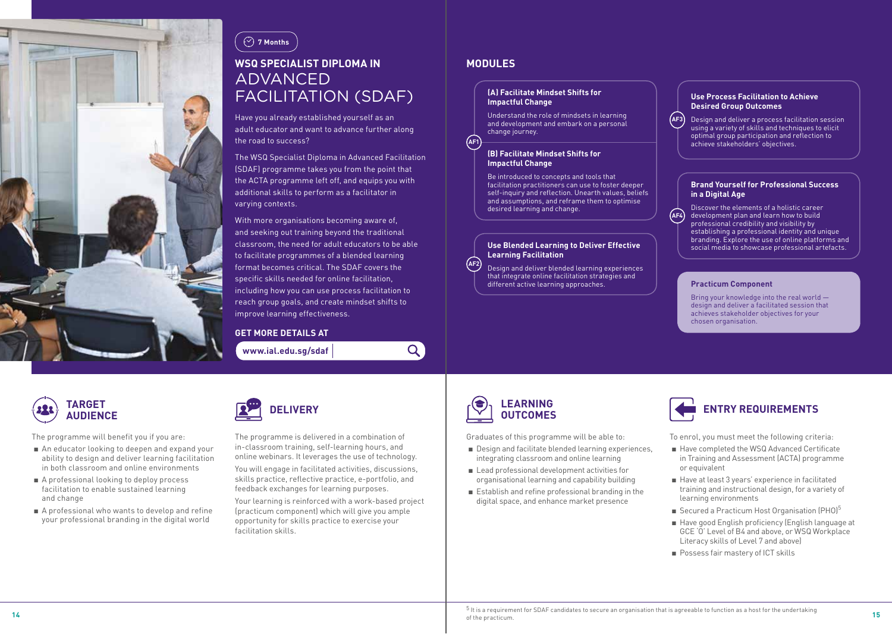



### **WSQ SPECIALIST DIPLOMA IN**  ADVANCED FACILITATION (SDAF)

Have you already established yourself as an adult educator and want to advance further along the road to success?

The WSQ Specialist Diploma in Advanced Facilitation (SDAF) programme takes you from the point that the ACTA programme left off, and equips you with additional skills to perform as a facilitator in varying contexts.

With more organisations becoming aware of, and seeking out training beyond the traditional classroom, the need for adult educators to be able to facilitate programmes of a blended learning format becomes critical. The SDAF covers the specific skills needed for online facilitation, including how you can use process facilitation to reach group goals, and create mindset shifts to improve learning effectiveness.

#### **GET MORE DETAILS AT**

**www.ial.edu.sg/sdaf** 

### **MODULES**

**AF1**

 $\overline{Q}$ 

#### **(A) Facilitate Mindset Shifts for Impactful Change**

Understand the role of mindsets in learning and development and embark on a personal change journey.

#### **(B) Facilitate Mindset Shifts for Impactful Change**

Be introduced to concepts and tools that facilitation practitioners can use to foster deeper self-inquiry and reflection. Unearth values, beliefs and assumptions, and reframe them to optimise desired learning and change.

#### **Use Blended Learning to Deliver Effective Learning Facilitation**

**AF2** Design and deliver blended learning experiences that integrate online facilitation strategies and different active learning approaches.

#### **Use Process Facilitation to Achieve Desired Group Outcomes**

**AF3** Design and deliver a process facilitation session using a variety of skills and techniques to elicit optimal group participation and reflection to achieve stakeholders' objectives.

#### **Brand Yourself for Professional Success in a Digital Age**

**AF4** Discover the elements of a holistic career development plan and learn how to build professional credibility and visibility by establishing a professional identity and unique branding. Explore the use of online platforms and social media to showcase professional artefacts.

#### **Practicum Component**

Bring your knowledge into the real world design and deliver a facilitated session that achieves stakeholder objectives for your chosen organisation.



The programme will benefit you if you are:

- An educator looking to deepen and expand your ability to design and deliver learning facilitation in both classroom and online environments
- A professional looking to deploy process facilitation to enable sustained learning and change
- A professional who wants to develop and refine your professional branding in the digital world



The programme is delivered in a combination of in-classroom training, self-learning hours, and online webinars. It leverages the use of technology. You will engage in facilitated activities, discussions, skills practice, reflective practice, e-portfolio, and feedback exchanges for learning purposes.

Your learning is reinforced with a work-based project (practicum component) which will give you ample opportunity for skills practice to exercise your facilitation skills.



Graduates of this programme will be able to:

- Design and facilitate blended learning experiences, integrating classroom and online learning
- Lead professional development activities for organisational learning and capability building
- Establish and refine professional branding in the digital space, and enhance market presence



- Have completed the WSQ Advanced Certificate in Training and Assessment (ACTA) programme or equivalent
- Have at least 3 years' experience in facilitated training and instructional design, for a variety of learning environments
- Secured a Practicum Host Organisation (PHO)<sup>5</sup>
- Have good English proficiency (English language at GCE 'O' Level of B4 and above, or WSQ Workplace Literacy skills of Level 7 and above)
- Possess fair mastery of ICT skills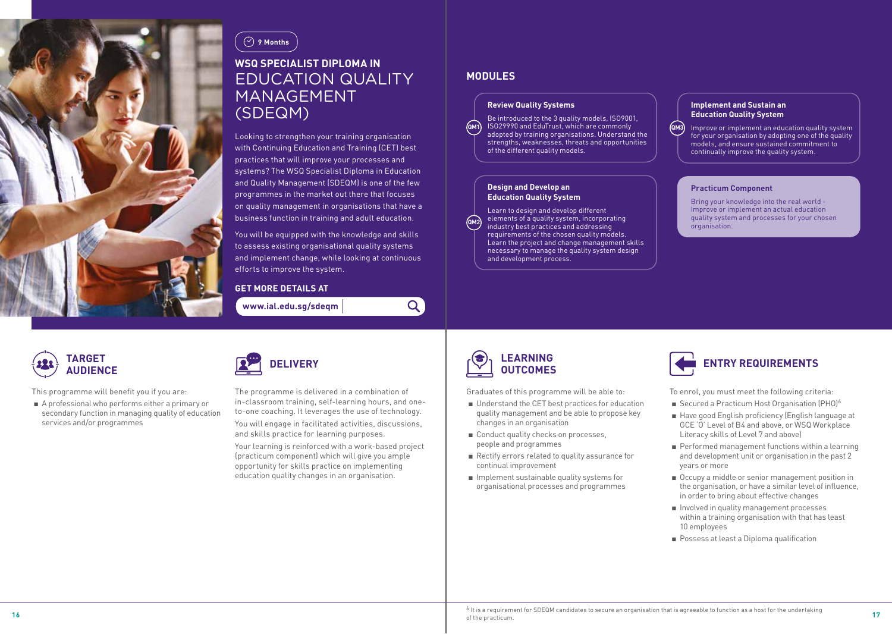



## **WSQ SPECIALIST DIPLOMA IN**  EDUCATION QUALITY MANAGEMENT (SDEQM)

Looking to strengthen your training organisation with Continuing Education and Training (CET) best practices that will improve your processes and systems? The WSQ Specialist Diploma in Education and Quality Management (SDEQM) is one of the few programmes in the market out there that focuses on quality management in organisations that have a business function in training and adult education.

You will be equipped with the knowledge and skills to assess existing organisational quality systems and implement change, while looking at continuous efforts to improve the system.

 $\mathsf{Q}$ 

#### **GET MORE DETAILS AT**

**www.ial.edu.sg/sdeqm** 

### **MODULES**

#### **Review Quality Systems**

**QM1** Be introduced to the 3 quality models, ISO9001, ISO29990 and EduTrust, which are commonly adopted by training organisations. Understand the strengths, weaknesses, threats and opportunities of the different quality models.

#### **Design and Develop an Education Quality System**

**QM2** Learn to design and develop different elements of a quality system, incorporating industry best practices and addressing requirements of the chosen quality models. Learn the project and change management skills necessary to manage the quality system design and development process.

#### **Implement and Sustain an Education Quality System**

**QM3** Improve or implement an education quality system for your organisation by adopting one of the quality models, and ensure sustained commitment to continually improve the quality system.

#### **Practicum Component**

Bring your knowledge into the real world - Improve or implement an actual education quality system and processes for your chosen organisation.



This programme will benefit you if you are:

■ A professional who performs either a primary or secondary function in managing quality of education services and/or programmes

| $\bullet$ | <b>DELIVERY</b> |
|-----------|-----------------|
|           |                 |

The programme is delivered in a combination of in-classroom training, self-learning hours, and oneto-one coaching. It leverages the use of technology.

You will engage in facilitated activities, discussions, and skills practice for learning purposes.

Your learning is reinforced with a work-based project (practicum component) which will give you ample opportunity for skills practice on implementing education quality changes in an organisation.



Graduates of this programme will be able to:

- Understand the CET best practices for education quality management and be able to propose key changes in an organisation
- Conduct quality checks on processes, people and programmes
- Rectify errors related to quality assurance for continual improvement
- Implement sustainable quality systems for organisational processes and programmes



- Secured a Practicum Host Organisation (PHO)<sup>6</sup>
- Have good English proficiency (English language at GCE 'O' Level of B4 and above, or WSQ Workplace Literacy skills of Level 7 and above)
- Performed management functions within a learning and development unit or organisation in the past 2 years or more
- Occupy a middle or senior management position in the organisation, or have a similar level of influence, in order to bring about effective changes
- Involved in quality management processes within a training organisation with that has least 10 employees
- Possess at least a Diploma qualification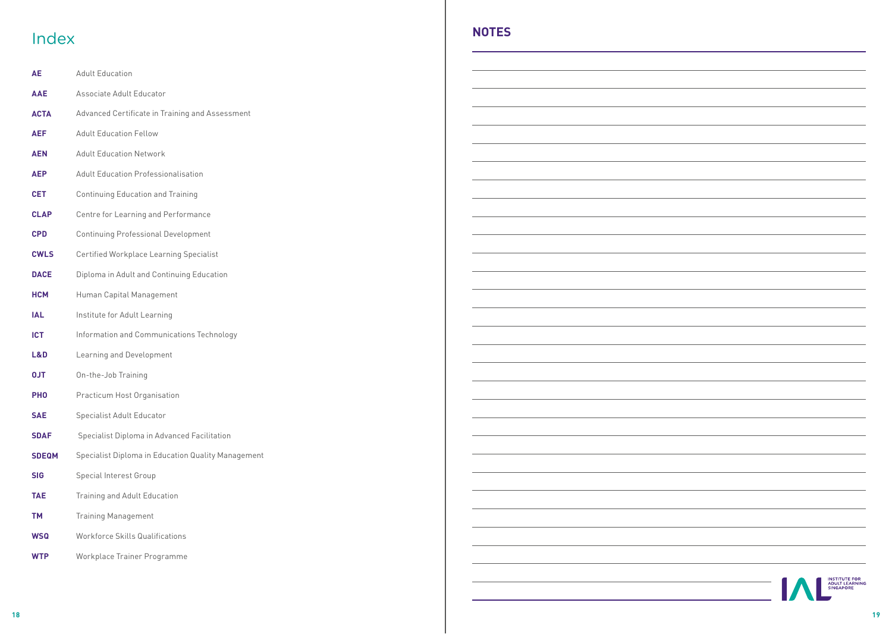# Index **NOTES**

| AE           | <b>Adult Education</b>                             |
|--------------|----------------------------------------------------|
| <b>AAE</b>   | Associate Adult Educator                           |
| <b>ACTA</b>  | Advanced Certificate in Training and Assessment    |
| <b>AEF</b>   | <b>Adult Education Fellow</b>                      |
| <b>AEN</b>   | <b>Adult Education Network</b>                     |
| <b>AEP</b>   | <b>Adult Education Professionalisation</b>         |
| <b>CET</b>   | <b>Continuing Education and Training</b>           |
| <b>CLAP</b>  | Centre for Learning and Performance                |
| <b>CPD</b>   | <b>Continuing Professional Development</b>         |
| <b>CWLS</b>  | <b>Certified Workplace Learning Specialist</b>     |
| <b>DACE</b>  | Diploma in Adult and Continuing Education          |
| <b>HCM</b>   | Human Capital Management                           |
| <b>IAL</b>   | Institute for Adult Learning                       |
| <b>ICT</b>   | Information and Communications Technology          |
| L&D          | Learning and Development                           |
| <b>TLO</b>   | On-the-Job Training                                |
| <b>PHO</b>   | Practicum Host Organisation                        |
| <b>SAE</b>   | <b>Specialist Adult Educator</b>                   |
| <b>SDAF</b>  | Specialist Diploma in Advanced Facilitation        |
| <b>SDEQM</b> | Specialist Diploma in Education Quality Management |
| SIG          | <b>Special Interest Group</b>                      |
| TAE          | Training and Adult Education                       |
| TМ           | <b>Training Management</b>                         |
| WSQ          | <b>Workforce Skills Qualifications</b>             |
| <b>WTP</b>   | Workplace Trainer Programme                        |